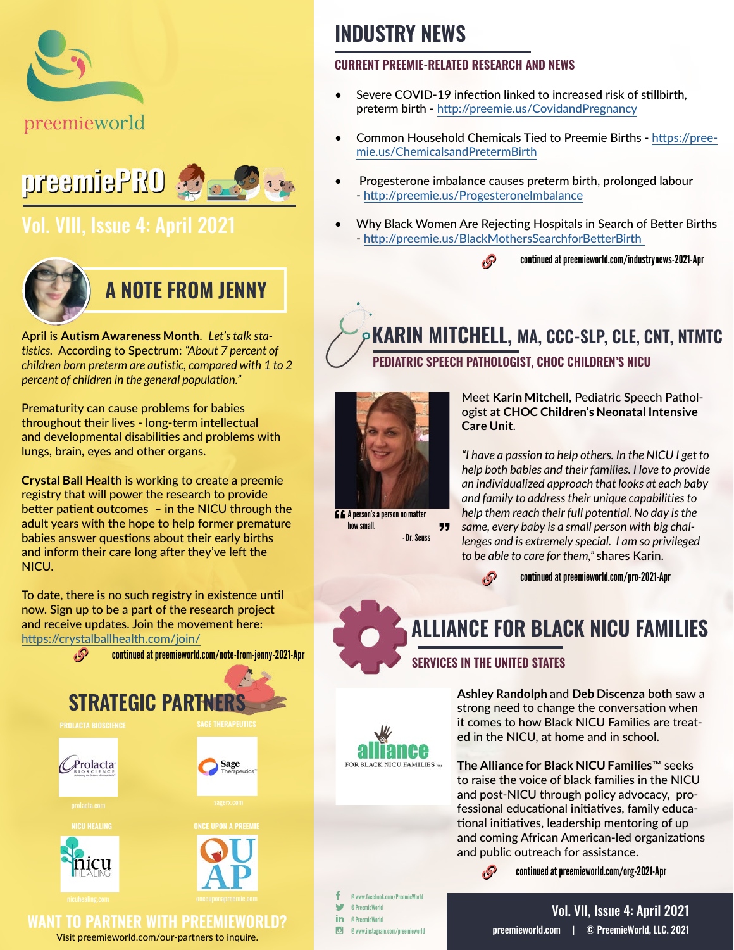



## [Vol. VIII, Issue 4: April 2021](https://preemieworld.com/preemie-pro-digital-issues/)



April is **Autism Awareness Month**. *Let's talk statistics.* According to Spectrum: *"About 7 percent of children born preterm are autistic, compared with 1 to 2 percent of children in the general population."* 

Prematurity can cause problems for babies throughout their lives - long-term intellectual and developmental disabilities and problems with lungs, brain, eyes and other organs.

**Crystal Ball Health** is working to create a preemie registry that will power the research to provide better patient outcomes – in the NICU through the adult years with the hope to help former premature babies answer questions about their early births and inform their care long after they've left the NICU.

To date, there is no such registry in existence until now. Sign up to be a part of the research project and receive updates. Join the movement here: <https://crystalballhealth.com/join/>



## **INDUSTRY NEWS**

#### **CURRENT PREEMIE-RELATED RESEARCH AND NEWS**

- Severe COVID-19 infection linked to increased risk o[f](https://www.tes.com/news/pupils-born-preterm-slipping-under-radar ) stillbirth, preterm birth - http://preemie.us/CovidandPregnancy
- Common Household Chemicals Tied to Preemie Births [https://pree](https://preemie.us/ChemicalsandPretermBirth )[mie.us/ChemicalsandPretermBirth](https://preemie.us/ChemicalsandPretermBirth )
- Progesterone imbalance causes preterm birth, prolonged labour - http://preemie.us/ProgesteroneImbalance
- [Why Black Women Are Rejecting Hospitals in Search of Better Births](http://Why Black Women Are Rejecting Hospitals in Search of Better Births) - [http://preemie.us/BlackMothersSearchforBetterBirth](http://preemie.us/BlackMothersSearchforBetterBirth ) 
	- continued at [preemieworld.com/industrynews-2021-](http://preemieworld.com/industrynews-2021-Apr)Apr <sup>6</sup>

## **KARIN MITCHELL, MA, CCC-SLP, CLE, CNT, NTMTC PEDIATRIC SPEECH PATHOLOGIST, CHOC CHILDREN'S NICU**



**A A** person's a person no matter how small. " - Dr. Seuss

Meet **Karin Mitchell**, Pediatric Speech Pathologist at **CHOC Children's Neonatal Intensive Care Unit**.

*"I have a passion to help others. In the NICU I get to help both babies and their families. I love to provide an individualized approach that looks at each baby and family to address their unique capabilities to help them reach their full potential. No day is the same, every baby is a small person with big challenges and is extremely special. I am so privileged to be able to care for them,"* shares Karin.



## **ALLIANCE FOR BLACK NICU FAMILIES**

### **SERVICES IN THE UNITED STATES**

**Ashley Randolph** and **Deb Discenza** both saw a strong need to change the conversation when it comes to how Black NICU Families are treated in the NICU, at home and in school.

**The Alliance for Black NICU Families**™ seeks to raise the voice of black families in the NICU and post-NICU through policy advocacy, professional educational initiatives, family educational initiatives, leadership mentoring of up and coming African American-led organizations and public outreach for assistance.

> $\mathcal{S}$ continued at [preemieworld.com/org-2021-A](http://preemieworld.com/org-2021-Apr)pr

@ www.facebook.com/PreemieWorld **M** @ PreemieWorld in @ PreemieWorld  $\Box$ @ www.instagram.com/preemieworld

FOR BLACK NICU FAMILIES TH

[preemieworld.com](https://preemieworld.com) | © PreemieWorld, LLC. 2021 Vol. VII, Issue 4: April 2021

Visit [preemieworld.com/our-partners](https://preemieworld.com/our-partners) to inquire.